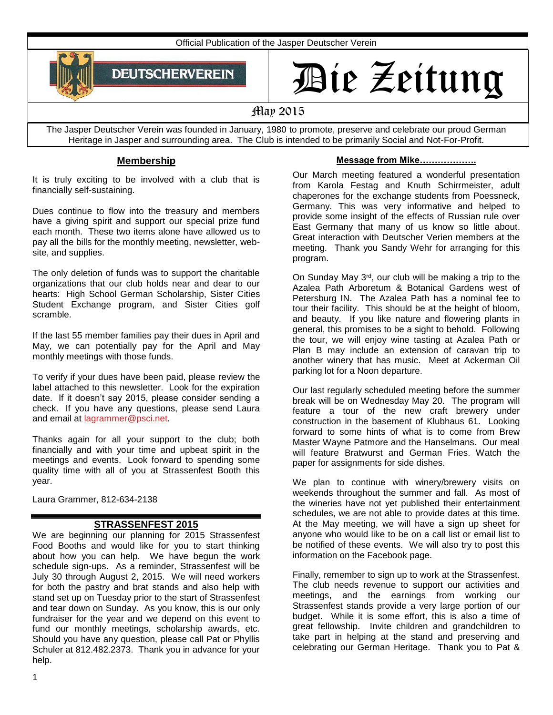Official Publication of the Jasper Deutscher Verein



# Die Zeitung

# May 2015

The Jasper Deutscher Verein was founded in January, 1980 to promote, preserve and celebrate our proud German Heritage in Jasper and surrounding area. The Club is intended to be primarily Social and Not-For-Profit.

# **Membership**

It is truly exciting to be involved with a club that is financially self-sustaining.

Dues continue to flow into the treasury and members have a giving spirit and support our special prize fund each month. These two items alone have allowed us to pay all the bills for the monthly meeting, newsletter, website, and supplies.

The only deletion of funds was to support the charitable organizations that our club holds near and dear to our hearts: High School German Scholarship, Sister Cities Student Exchange program, and Sister Cities golf scramble.

If the last 55 member families pay their dues in April and May, we can potentially pay for the April and May monthly meetings with those funds.

To verify if your dues have been paid, please review the label attached to this newsletter. Look for the expiration date. If it doesn't say 2015, please consider sending a check. If you have any questions, please send Laura and email at [lagrammer@psci.net.](mailto:lagrammer@psci.net)

Thanks again for all your support to the club; both financially and with your time and upbeat spirit in the meetings and events. Look forward to spending some quality time with all of you at Strassenfest Booth this year.

Laura Grammer, 812-634-2138

# **STRASSENFEST 2015**

We are beginning our planning for 2015 Strassenfest Food Booths and would like for you to start thinking about how you can help. We have begun the work schedule sign-ups. As a reminder, Strassenfest will be July 30 through August 2, 2015. We will need workers for both the pastry and brat stands and also help with stand set up on Tuesday prior to the start of Strassenfest and tear down on Sunday. As you know, this is our only fundraiser for the year and we depend on this event to fund our monthly meetings, scholarship awards, etc. Should you have any question, please call Pat or Phyllis Schuler at 812.482.2373. Thank you in advance for your help.

#### **Message from Mike……………….**

Our March meeting featured a wonderful presentation from Karola Festag and Knuth Schirrmeister, adult chaperones for the exchange students from Poessneck, Germany. This was very informative and helped to provide some insight of the effects of Russian rule over East Germany that many of us know so little about. Great interaction with Deutscher Verien members at the meeting. Thank you Sandy Wehr for arranging for this program.

On Sunday May 3rd, our club will be making a trip to the Azalea Path Arboretum & Botanical Gardens west of Petersburg IN. The Azalea Path has a nominal fee to tour their facility. This should be at the height of bloom, and beauty. If you like nature and flowering plants in general, this promises to be a sight to behold. Following the tour, we will enjoy wine tasting at Azalea Path or Plan B may include an extension of caravan trip to another winery that has music. Meet at Ackerman Oil parking lot for a Noon departure.

Our last regularly scheduled meeting before the summer break will be on Wednesday May 20. The program will feature a tour of the new craft brewery under construction in the basement of Klubhaus 61. Looking forward to some hints of what is to come from Brew Master Wayne Patmore and the Hanselmans. Our meal will feature Bratwurst and German Fries. Watch the paper for assignments for side dishes.

We plan to continue with winery/brewery visits on weekends throughout the summer and fall. As most of the wineries have not yet published their entertainment schedules, we are not able to provide dates at this time. At the May meeting, we will have a sign up sheet for anyone who would like to be on a call list or email list to be notified of these events. We will also try to post this information on the Facebook page.

Finally, remember to sign up to work at the Strassenfest. The club needs revenue to support our activities and meetings, and the earnings from working our Strassenfest stands provide a very large portion of our budget. While it is some effort, this is also a time of great fellowship. Invite children and grandchildren to take part in helping at the stand and preserving and celebrating our German Heritage. Thank you to Pat &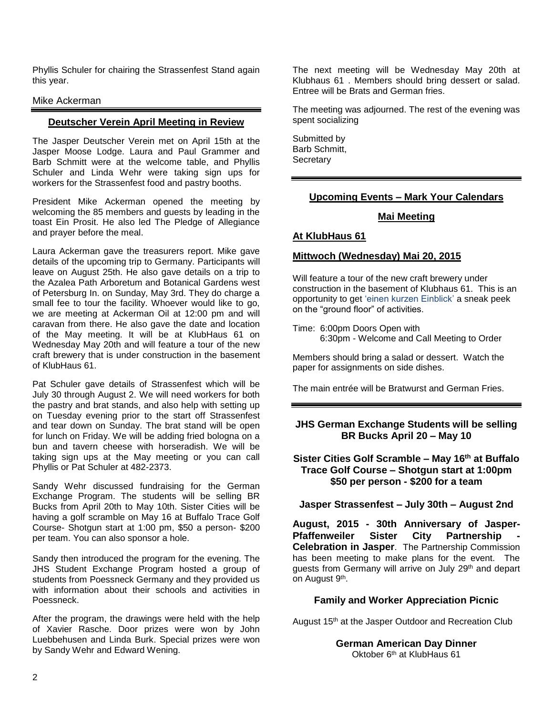Phyllis Schuler for chairing the Strassenfest Stand again this year.

#### Mike Ackerman

## **Deutscher Verein April Meeting in Review**

The Jasper Deutscher Verein met on April 15th at the Jasper Moose Lodge. Laura and Paul Grammer and Barb Schmitt were at the welcome table, and Phyllis Schuler and Linda Wehr were taking sign ups for workers for the Strassenfest food and pastry booths.

President Mike Ackerman opened the meeting by welcoming the 85 members and guests by leading in the toast Ein Prosit. He also led The Pledge of Allegiance and prayer before the meal.

Laura Ackerman gave the treasurers report. Mike gave details of the upcoming trip to Germany. Participants will leave on August 25th. He also gave details on a trip to the Azalea Path Arboretum and Botanical Gardens west of Petersburg In. on Sunday, May 3rd. They do charge a small fee to tour the facility. Whoever would like to go, we are meeting at Ackerman Oil at 12:00 pm and will caravan from there. He also gave the date and location of the May meeting. It will be at KlubHaus 61 on Wednesday May 20th and will feature a tour of the new craft brewery that is under construction in the basement of KlubHaus 61.

Pat Schuler gave details of Strassenfest which will be July 30 through August 2. We will need workers for both the pastry and brat stands, and also help with setting up on Tuesday evening prior to the start off Strassenfest and tear down on Sunday. The brat stand will be open for lunch on Friday. We will be adding fried bologna on a bun and tavern cheese with horseradish. We will be taking sign ups at the May meeting or you can call Phyllis or Pat Schuler at 482-2373.

Sandy Wehr discussed fundraising for the German Exchange Program. The students will be selling BR Bucks from April 20th to May 10th. Sister Cities will be having a golf scramble on May 16 at Buffalo Trace Golf Course- Shotgun start at 1:00 pm, \$50 a person- \$200 per team. You can also sponsor a hole.

Sandy then introduced the program for the evening. The JHS Student Exchange Program hosted a group of students from Poessneck Germany and they provided us with information about their schools and activities in Poessneck.

After the program, the drawings were held with the help of Xavier Rasche. Door prizes were won by John Luebbehusen and Linda Burk. Special prizes were won by Sandy Wehr and Edward Wening.

The next meeting will be Wednesday May 20th at Klubhaus 61 . Members should bring dessert or salad. Entree will be Brats and German fries.

The meeting was adjourned. The rest of the evening was spent socializing

Submitted by Barb Schmitt, **Secretary** 

## **Upcoming Events – Mark Your Calendars**

#### **Mai Meeting**

#### **At KlubHaus 61**

## **Mittwoch (Wednesday) Mai 20, 2015**

Will feature a tour of the new craft brewery under construction in the basement of Klubhaus 61. This is an opportunity to get 'einen kurzen Einblick' a sneak peek on the "ground floor" of activities.

Time: 6:00pm Doors Open with 6:30pm - Welcome and Call Meeting to Order

Members should bring a salad or dessert. Watch the paper for assignments on side dishes.

The main entrée will be Bratwurst and German Fries.

# **JHS German Exchange Students will be selling BR Bucks April 20 – May 10**

#### **Sister Cities Golf Scramble – May 16th at Buffalo Trace Golf Course – Shotgun start at 1:00pm \$50 per person - \$200 for a team**

**Jasper Strassenfest – July 30th – August 2nd**

**August, 2015 - 30th Anniversary of Jasper-Pfaffenweiler Sister City Partnership - Celebration in Jasper**. The Partnership Commission has been meeting to make plans for the event. The guests from Germany will arrive on July 29<sup>th</sup> and depart on August 9<sup>th</sup>.

#### **Family and Worker Appreciation Picnic**

August 15<sup>th</sup> at the Jasper Outdoor and Recreation Club

**German American Day Dinner** Oktober 6th at KlubHaus 61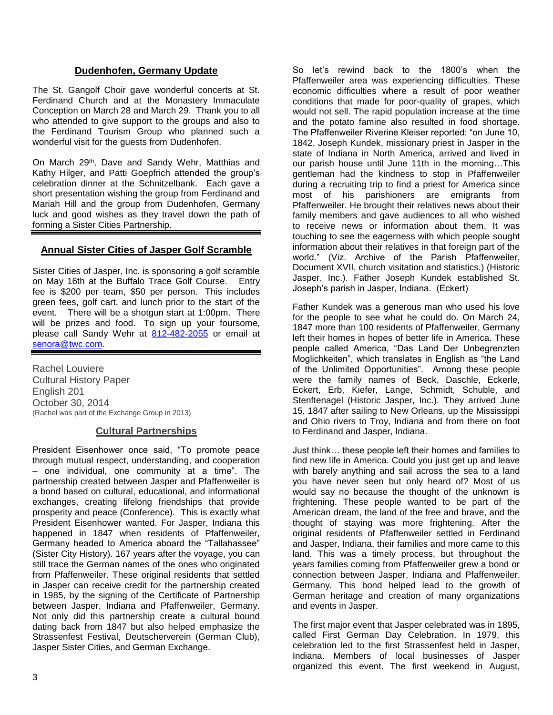## **Dudenhofen, Germany Update**

The St. Gangolf Choir gave wonderful concerts at St. Ferdinand Church and at the Monastery Immaculate Conception on March 28 and March 29. Thank you to all who attended to give support to the groups and also to the Ferdinand Tourism Group who planned such a wonderful visit for the guests from Dudenhofen.

On March 29<sup>th</sup>, Dave and Sandy Wehr, Matthias and Kathy Hilger, and Patti Goepfrich attended the group's celebration dinner at the Schnitzelbank. Each gave a short presentation wishing the group from Ferdinand and Mariah Hill and the group from Dudenhofen, Germany luck and good wishes as they travel down the path of forming a Sister Cities Partnership.

## **Annual Sister Cities of Jasper Golf Scramble**

Sister Cities of Jasper, Inc. is sponsoring a golf scramble on May 16th at the Buffalo Trace Golf Course. Entry fee is \$200 per team, \$50 per person. This includes green fees, golf cart, and lunch prior to the start of the event. There will be a shotgun start at 1:00pm. There will be prizes and food. To sign up your foursome, please call Sandy Wehr at [812-482-2055](tel:812-482-2055) or email at [senora@twc.com.](mailto:senora@twc.com)

Rachel Louviere Cultural History Paper English 201 October 30, 2014 (Rachel was part of the Exchange Group in 2013)

#### **Cultural Partnerships**

President Eisenhower once said, "To promote peace through mutual respect, understanding, and cooperation – one individual, one community at a time". The partnership created between Jasper and Pfaffenweiler is a bond based on cultural, educational, and informational exchanges, creating lifelong friendships that provide prosperity and peace (Conference). This is exactly what President Eisenhower wanted. For Jasper, Indiana this happened in 1847 when residents of Pfaffenweiler, Germany headed to America aboard the "Tallahassee" (Sister City History). 167 years after the voyage, you can still trace the German names of the ones who originated from Pfaffenweiler. These original residents that settled in Jasper can receive credit for the partnership created in 1985, by the signing of the Certificate of Partnership between Jasper, Indiana and Pfaffenweiler, Germany. Not only did this partnership create a cultural bound dating back from 1847 but also helped emphasize the Strassenfest Festival, Deutscherverein (German Club), Jasper Sister Cities, and German Exchange.

So let's rewind back to the 1800's when the Pfaffenweiler area was experiencing difficulties. These economic difficulties where a result of poor weather conditions that made for poor-quality of grapes, which would not sell. The rapid population increase at the time and the potato famine also resulted in food shortage. The Pfaffenweiler Riverine Kleiser reported: "on June 10, 1842, Joseph Kundek, missionary priest in Jasper in the state of Indiana in North America, arrived and lived in our parish house until June 11th in the morning…This gentleman had the kindness to stop in Pfaffenweiler during a recruiting trip to find a priest for America since most of his parishioners are emigrants from Pfaffenweiler. He brought their relatives news about their family members and gave audiences to all who wished to receive news or information about them. It was touching to see the eagerness with which people sought information about their relatives in that foreign part of the world." (Viz. Archive of the Parish Pfaffenweiler, Document XVII, church visitation and statistics.) (Historic Jasper, Inc.). Father Joseph Kundek established St. Joseph's parish in Jasper, Indiana. (Eckert)

Father Kundek was a generous man who used his love for the people to see what he could do. On March 24, 1847 more than 100 residents of Pfaffenweiler, Germany left their homes in hopes of better life in America. These people called America, "Das Land Der Unbegrenzten Moglichkeiten", which translates in English as "the Land of the Unlimited Opportunities". Among these people were the family names of Beck, Daschle, Eckerle, Eckert, Erb, Kiefer, Lange, Schmidt, Schuble, and Stenftenagel (Historic Jasper, Inc.). They arrived June 15, 1847 after sailing to New Orleans, up the Mississippi and Ohio rivers to Troy, Indiana and from there on foot to Ferdinand and Jasper, Indiana.

Just think… these people left their homes and families to find new life in America. Could you just get up and leave with barely anything and sail across the sea to a land you have never seen but only heard of? Most of us would say no because the thought of the unknown is frightening. These people wanted to be part of the American dream, the land of the free and brave, and the thought of staying was more frightening. After the original residents of Pfaffenweiler settled in Ferdinand and Jasper, Indiana, their families and more came to this land. This was a timely process, but throughout the years families coming from Pfaffenweiler grew a bond or connection between Jasper, Indiana and Pfaffenweiler, Germany. This bond helped lead to the growth of German heritage and creation of many organizations and events in Jasper.

The first major event that Jasper celebrated was in 1895, called First German Day Celebration. In 1979, this celebration led to the first Strassenfest held in Jasper, Indiana. Members of local businesses of Jasper organized this event. The first weekend in August,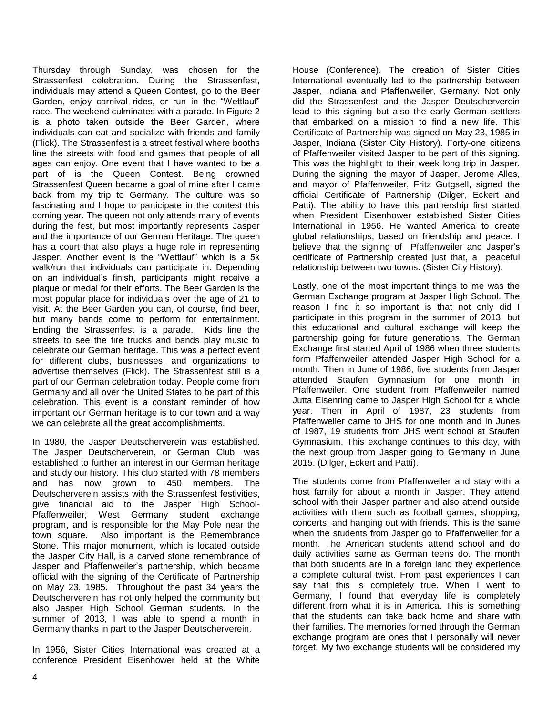Thursday through Sunday, was chosen for the Strassenfest celebration. During the Strassenfest, individuals may attend a Queen Contest, go to the Beer Garden, enjoy carnival rides, or run in the "Wettlauf" race. The weekend culminates with a parade. In Figure 2 is a photo taken outside the Beer Garden, where individuals can eat and socialize with friends and family (Flick). The Strassenfest is a street festival where booths line the streets with food and games that people of all ages can enjoy. One event that I have wanted to be a part of is the Queen Contest. Being crowned Strassenfest Queen became a goal of mine after I came back from my trip to Germany. The culture was so fascinating and I hope to participate in the contest this coming year. The queen not only attends many of events during the fest, but most importantly represents Jasper and the importance of our German Heritage. The queen has a court that also plays a huge role in representing Jasper. Another event is the "Wettlauf" which is a 5k walk/run that individuals can participate in. Depending on an individual's finish, participants might receive a plaque or medal for their efforts. The Beer Garden is the most popular place for individuals over the age of 21 to visit. At the Beer Garden you can, of course, find beer, but many bands come to perform for entertainment. Ending the Strassenfest is a parade. Kids line the streets to see the fire trucks and bands play music to celebrate our German heritage. This was a perfect event for different clubs, businesses, and organizations to advertise themselves (Flick). The Strassenfest still is a part of our German celebration today. People come from Germany and all over the United States to be part of this celebration. This event is a constant reminder of how important our German heritage is to our town and a way we can celebrate all the great accomplishments.

In 1980, the Jasper Deutscherverein was established. The Jasper Deutscherverein, or German Club, was established to further an interest in our German heritage and study our history. This club started with 78 members and has now grown to 450 members. The Deutscherverein assists with the Strassenfest festivities, give financial aid to the Jasper High School-Pfaffenweiler, West Germany student exchange program, and is responsible for the May Pole near the town square. Also important is the Remembrance Stone. This major monument, which is located outside the Jasper City Hall, is a carved stone remembrance of Jasper and Pfaffenweiler's partnership, which became official with the signing of the Certificate of Partnership on May 23, 1985. Throughout the past 34 years the Deutscherverein has not only helped the community but also Jasper High School German students. In the summer of 2013, I was able to spend a month in Germany thanks in part to the Jasper Deutscherverein.

In 1956, Sister Cities International was created at a conference President Eisenhower held at the White House (Conference). The creation of Sister Cities International eventually led to the partnership between Jasper, Indiana and Pfaffenweiler, Germany. Not only did the Strassenfest and the Jasper Deutscherverein lead to this signing but also the early German settlers that embarked on a mission to find a new life. This Certificate of Partnership was signed on May 23, 1985 in Jasper, Indiana (Sister City History). Forty-one citizens of Pfaffenweiler visited Jasper to be part of this signing. This was the highlight to their week long trip in Jasper. During the signing, the mayor of Jasper, Jerome Alles, and mayor of Pfaffenweiler, Fritz Gutgsell, signed the official Certificate of Partnership (Dilger, Eckert and Patti). The ability to have this partnership first started when President Eisenhower established Sister Cities International in 1956. He wanted America to create global relationships, based on friendship and peace. I believe that the signing of Pfaffenweiler and Jasper's certificate of Partnership created just that, a peaceful relationship between two towns. (Sister City History).

Lastly, one of the most important things to me was the German Exchange program at Jasper High School. The reason I find it so important is that not only did I participate in this program in the summer of 2013, but this educational and cultural exchange will keep the partnership going for future generations. The German Exchange first started April of 1986 when three students form Pfaffenweiler attended Jasper High School for a month. Then in June of 1986, five students from Jasper attended Staufen Gymnasium for one month in Pfaffenweiler. One student from Pfaffenweiler named Jutta Eisenring came to Jasper High School for a whole year. Then in April of 1987, 23 students from Pfaffenweiler came to JHS for one month and in Junes of 1987, 19 students from JHS went school at Staufen Gymnasium. This exchange continues to this day, with the next group from Jasper going to Germany in June 2015. (Dilger, Eckert and Patti).

The students come from Pfaffenweiler and stay with a host family for about a month in Jasper. They attend school with their Jasper partner and also attend outside activities with them such as football games, shopping, concerts, and hanging out with friends. This is the same when the students from Jasper go to Pfaffenweiler for a month. The American students attend school and do daily activities same as German teens do. The month that both students are in a foreign land they experience a complete cultural twist. From past experiences I can say that this is completely true. When I went to Germany, I found that everyday life is completely different from what it is in America. This is something that the students can take back home and share with their families. The memories formed through the German exchange program are ones that I personally will never forget. My two exchange students will be considered my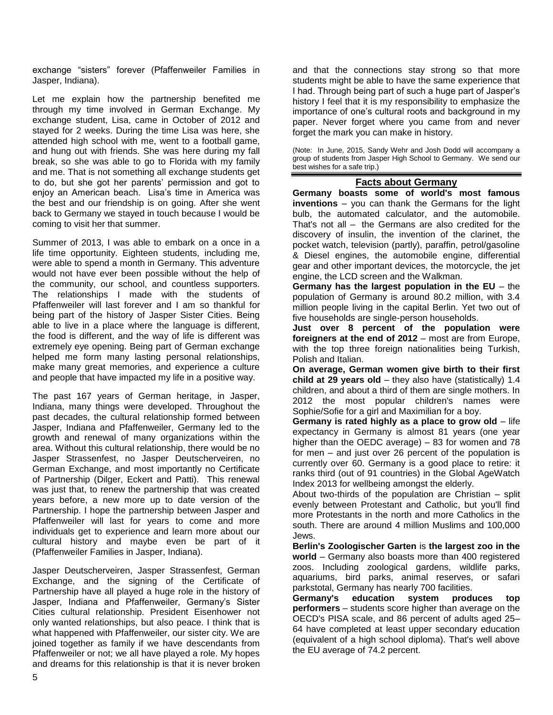exchange "sisters" forever (Pfaffenweiler Families in Jasper, Indiana).

Let me explain how the partnership benefited me through my time involved in German Exchange. My exchange student, Lisa, came in October of 2012 and stayed for 2 weeks. During the time Lisa was here, she attended high school with me, went to a football game, and hung out with friends. She was here during my fall break, so she was able to go to Florida with my family and me. That is not something all exchange students get to do, but she got her parents' permission and got to enjoy an American beach. Lisa's time in America was the best and our friendship is on going. After she went back to Germany we stayed in touch because I would be coming to visit her that summer.

Summer of 2013, I was able to embark on a once in a life time opportunity. Eighteen students, including me, were able to spend a month in Germany. This adventure would not have ever been possible without the help of the community, our school, and countless supporters. The relationships I made with the students of Pfaffenweiler will last forever and I am so thankful for being part of the history of Jasper Sister Cities. Being able to live in a place where the language is different, the food is different, and the way of life is different was extremely eye opening. Being part of German exchange helped me form many lasting personal relationships, make many great memories, and experience a culture and people that have impacted my life in a positive way.

The past 167 years of German heritage, in Jasper, Indiana, many things were developed. Throughout the past decades, the cultural relationship formed between Jasper, Indiana and Pfaffenweiler, Germany led to the growth and renewal of many organizations within the area. Without this cultural relationship, there would be no Jasper Strassenfest, no Jasper Deutscherveiren, no German Exchange, and most importantly no Certificate of Partnership (Dilger, Eckert and Patti). This renewal was just that, to renew the partnership that was created years before, a new more up to date version of the Partnership. I hope the partnership between Jasper and Pfaffenweiler will last for years to come and more individuals get to experience and learn more about our cultural history and maybe even be part of it (Pfaffenweiler Families in Jasper, Indiana).

Jasper Deutscherveiren, Jasper Strassenfest, German Exchange, and the signing of the Certificate of Partnership have all played a huge role in the history of Jasper, Indiana and Pfaffenweiler, Germany's Sister Cities cultural relationship. President Eisenhower not only wanted relationships, but also peace. I think that is what happened with Pfaffenweiler, our sister city. We are joined together as family if we have descendants from Pfaffenweiler or not; we all have played a role. My hopes and dreams for this relationship is that it is never broken

and that the connections stay strong so that more students might be able to have the same experience that I had. Through being part of such a huge part of Jasper's history I feel that it is my responsibility to emphasize the importance of one's cultural roots and background in my paper. Never forget where you came from and never forget the mark you can make in history.

(Note: In June, 2015, Sandy Wehr and Josh Dodd will accompany a group of students from Jasper High School to Germany. We send our best wishes for a safe trip.)

### **Facts about Germany**

**Germany boasts some of world's most famous inventions** – you can thank the Germans for the light bulb, the automated calculator, and the automobile. That's not all – the Germans are also credited for the discovery of insulin, the invention of the clarinet, the pocket watch, television (partly), paraffin, petrol/gasoline & Diesel engines, the automobile engine, differential gear and other important devices, the motorcycle, the jet engine, the LCD screen and the Walkman.

**Germany has the largest population in the EU** – the population of Germany is around 80.2 million, with 3.4 million people living in the capital Berlin. Yet two out of five households are single-person households.

**Just over 8 percent of the population were foreigners at the end of 2012** – most are from Europe, with the top three foreign nationalities being Turkish, Polish and Italian.

**On average, German women give birth to their first child at 29 years old** – they also have (statistically) 1.4 children, and about a third of them are single mothers. In 2012 the most popular children's names were Sophie/Sofie for a girl and Maximilian for a boy.

**Germany is rated highly as a place to grow old** – life expectancy in Germany is almost 81 years (one year higher than the OEDC average) – 83 for women and 78 for men – and just over 26 percent of the population is currently over 60. Germany is a good place to retire: it ranks third (out of 91 countries) in the Global AgeWatch Index 2013 for wellbeing amongst the elderly.

About two-thirds of the population are Christian – split evenly between Protestant and Catholic, but you'll find more Protestants in the north and more Catholics in the south. There are around 4 million Muslims and 100,000 Jews.

**Berlin's Zoologischer Garten** is **the largest zoo in the world** – Germany also boasts more than 400 registered zoos. Including zoological gardens, wildlife parks, aquariums, bird parks, animal reserves, or safari parkstotal, Germany has nearly 700 facilities.

**Germany's education system produces top performers** – students score higher than average on the OECD's PISA scale, and 86 percent of adults aged 25– 64 have completed at least upper secondary education (equivalent of a high school diploma). That's well above the EU average of 74.2 percent.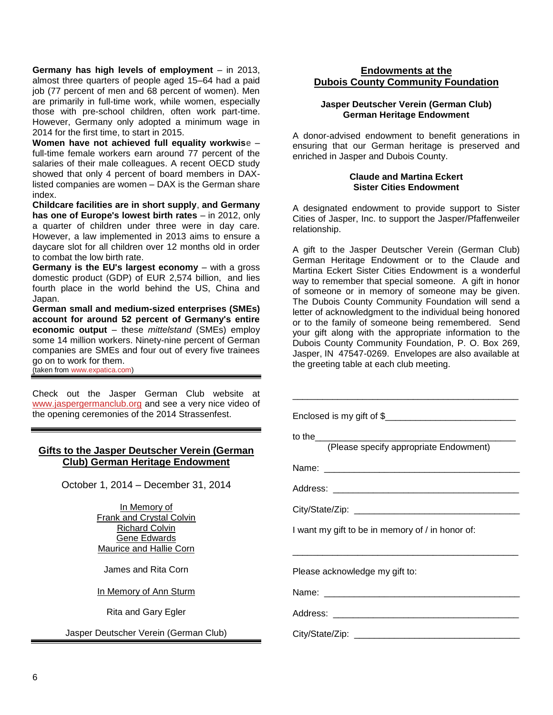**Germany has high levels of employment** – in 2013, almost three quarters of people aged 15–64 had a paid job (77 percent of men and 68 percent of women). Men are primarily in full-time work, while women, especially those with pre-school children, often work part-time. However, Germany only adopted a minimum wage in 2014 for the first time, to start in 2015.

**Women have not achieved full equality workwise** – full-time female workers earn around 77 percent of the salaries of their male colleagues. A recent OECD study showed that only 4 percent of board members in DAXlisted companies are women – DAX is the German share index.

**Childcare facilities are in short supply**, **and Germany has one of Europe's lowest birth rates** – in 2012, only a quarter of children under three were in day care. However, a law implemented in 2013 aims to ensure a daycare slot for all children over 12 months old in order to combat the low birth rate.

**Germany is the EU's largest economy** – with a gross domestic product (GDP) of EUR 2,574 billion, and lies fourth place in the world behind the US, China and Japan.

**German small and medium-sized enterprises (SMEs) account for around 52 percent of Germany's entire economic output** – these *mittelstand* (SMEs) employ some 14 million workers. Ninety-nine percent of German companies are SMEs and four out of every five trainees go on to work for them. (taken fro[m www.expatica.com\)](http://www.expatica.com/)

Check out the Jasper German Club website at [www.jaspergermanclub.org](http://www.jaspergermanclub.org/) and see a very nice video of the opening ceremonies of the 2014 Strassenfest.

# **Gifts to the Jasper Deutscher Verein (German Club) German Heritage Endowment**

October 1, 2014 – December 31, 2014

In Memory of Frank and Crystal Colvin Richard Colvin Gene Edwards Maurice and Hallie Corn

James and Rita Corn

In Memory of Ann Sturm

Rita and Gary Egler

Jasper Deutscher Verein (German Club)

#### **Endowments at the Dubois County Community Foundation**

#### **Jasper Deutscher Verein (German Club) German Heritage Endowment**

A donor-advised endowment to benefit generations in ensuring that our German heritage is preserved and enriched in Jasper and Dubois County.

#### **Claude and Martina Eckert Sister Cities Endowment**

A designated endowment to provide support to Sister Cities of Jasper, Inc. to support the Jasper/Pfaffenweiler relationship.

A gift to the Jasper Deutscher Verein (German Club) German Heritage Endowment or to the Claude and Martina Eckert Sister Cities Endowment is a wonderful way to remember that special someone. A gift in honor of someone or in memory of someone may be given. The Dubois County Community Foundation will send a letter of acknowledgment to the individual being honored or to the family of someone being remembered. Send your gift along with the appropriate information to the Dubois County Community Foundation, P. O. Box 269, Jasper, IN 47547-0269. Envelopes are also available at the greeting table at each club meeting.

| I want my gift to be in memory of / in honor of: |
|--------------------------------------------------|
|                                                  |
| Please acknowledge my gift to:                   |
|                                                  |
|                                                  |
|                                                  |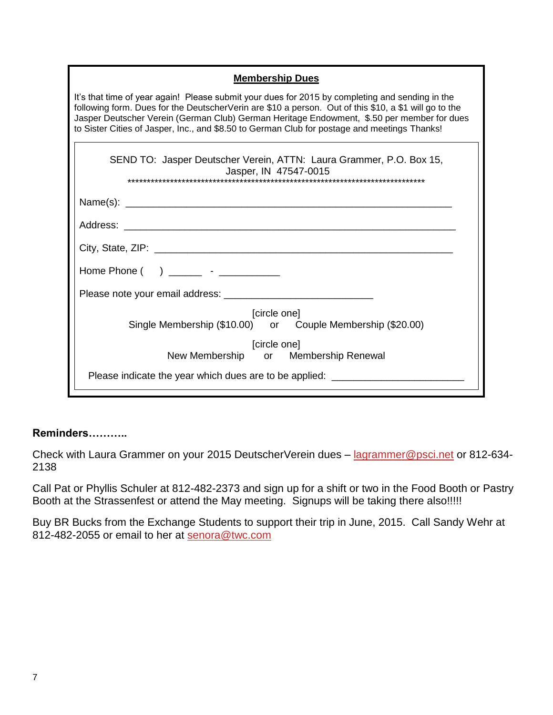| <b>Membership Dues</b>                                                                                                                                                                                                                                                                                                                                                                                 |  |
|--------------------------------------------------------------------------------------------------------------------------------------------------------------------------------------------------------------------------------------------------------------------------------------------------------------------------------------------------------------------------------------------------------|--|
| It's that time of year again! Please submit your dues for 2015 by completing and sending in the<br>following form. Dues for the DeutscherVerin are \$10 a person. Out of this \$10, a \$1 will go to the<br>Jasper Deutscher Verein (German Club) German Heritage Endowment, \$.50 per member for dues<br>to Sister Cities of Jasper, Inc., and \$8.50 to German Club for postage and meetings Thanks! |  |
| SEND TO: Jasper Deutscher Verein, ATTN: Laura Grammer, P.O. Box 15,<br>Jasper, IN 47547-0015<br>*******************************                                                                                                                                                                                                                                                                        |  |
|                                                                                                                                                                                                                                                                                                                                                                                                        |  |
|                                                                                                                                                                                                                                                                                                                                                                                                        |  |
|                                                                                                                                                                                                                                                                                                                                                                                                        |  |
| Home Phone $($ $)$ ________ - ____________                                                                                                                                                                                                                                                                                                                                                             |  |
|                                                                                                                                                                                                                                                                                                                                                                                                        |  |
| [circle one]<br>Single Membership (\$10.00) or Couple Membership (\$20.00)                                                                                                                                                                                                                                                                                                                             |  |
| [circle one]<br>New Membership or Membership Renewal                                                                                                                                                                                                                                                                                                                                                   |  |
| Please indicate the year which dues are to be applied: _________________________                                                                                                                                                                                                                                                                                                                       |  |

# **Reminders………..**

Check with Laura Grammer on your 2015 DeutscherVerein dues - [lagrammer@psci.net](mailto:lagrammer@psci.net) or 812-634-2138

Call Pat or Phyllis Schuler at 812-482-2373 and sign up for a shift or two in the Food Booth or Pastry Booth at the Strassenfest or attend the May meeting. Signups will be taking there also!!!!!

Buy BR Bucks from the Exchange Students to support their trip in June, 2015. Call Sandy Wehr at 812-482-2055 or email to her at [senora@twc.com](mailto:senora@twc.com)